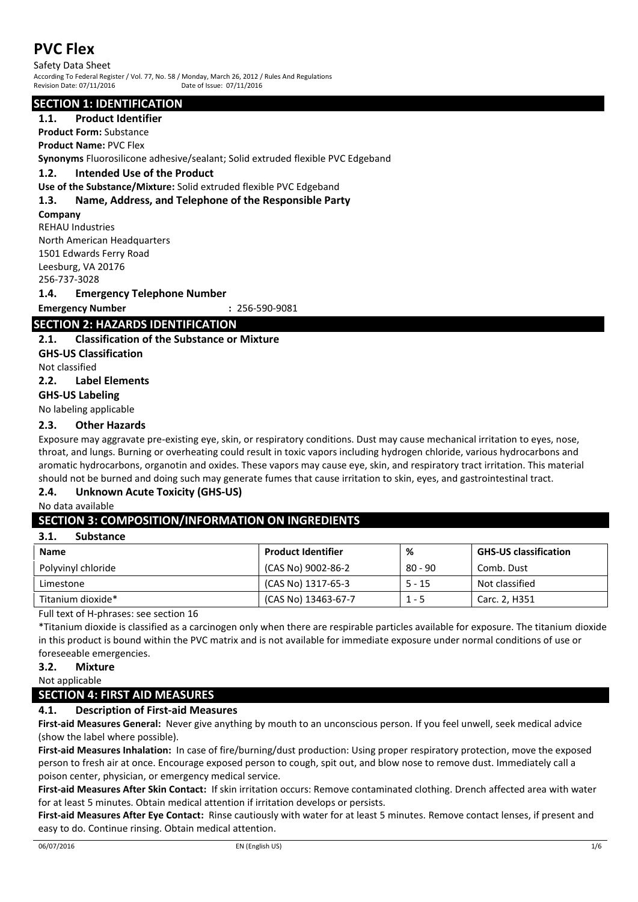Safety Data Sheet According To Federal Register / Vol. 77, No. 58 / Monday, March 26, 2012 / Rules And Regulations Revision Date: 07/11/2016 Date of Issue: 07/11/2016

#### **SECTION 1: IDENTIFICATION**

#### **1.1. Product Identifier**

**Product Form:** Substance

**Product Name:** PVC Flex

**Synonyms** Fluorosilicone adhesive/sealant; Solid extruded flexible PVC Edgeband

**1.2. Intended Use of the Product**

**Use of the Substance/Mixture:** Solid extruded flexible PVC Edgeband

#### **1.3. Name, Address, and Telephone of the Responsible Party**

**Company**

REHAU Industries North American Headquarters 1501 Edwards Ferry Road Leesburg, VA 20176

256-737-3028

#### **1.4. Emergency Telephone Number**

**Emergency Number :** 256-590-9081

## **SECTION 2: HAZARDS IDENTIFICATION**

#### **2.1. Classification of the Substance or Mixture**

**GHS-US Classification**

Not classified

**2.2. Label Elements**

### **GHS-US Labeling**

No labeling applicable

#### **2.3. Other Hazards**

Exposure may aggravate pre-existing eye, skin, or respiratory conditions. Dust may cause mechanical irritation to eyes, nose, throat, and lungs. Burning or overheating could result in toxic vapors including hydrogen chloride, various hydrocarbons and aromatic hydrocarbons, organotin and oxides. These vapors may cause eye, skin, and respiratory tract irritation. This material should not be burned and doing such may generate fumes that cause irritation to skin, eyes, and gastrointestinal tract.

#### **2.4. Unknown Acute Toxicity (GHS-US)**

No data available

#### **SECTION 3: COMPOSITION/INFORMATION ON INGREDIENTS**

#### **3.1. Substance**

| ----<br>----------- |                           |           |                              |
|---------------------|---------------------------|-----------|------------------------------|
| Name                | <b>Product Identifier</b> | %         | <b>GHS-US classification</b> |
| Polyvinyl chloride  | (CAS No) 9002-86-2        | $80 - 90$ | Comb. Dust                   |
| Limestone           | (CAS No) 1317-65-3        | $5 - 15$  | Not classified               |
| Titanium dioxide*   | (CAS No) 13463-67-7       | 1 - 5     | Carc. 2. H351                |
|                     |                           |           |                              |

Full text of H-phrases: see section 16

\*Titanium dioxide is classified as a carcinogen only when there are respirable particles available for exposure. The titanium dioxide in this product is bound within the PVC matrix and is not available for immediate exposure under normal conditions of use or foreseeable emergencies.

#### **3.2. Mixture**

Not applicable

## **SECTION 4: FIRST AID MEASURES**

#### **4.1. Description of First-aid Measures**

**First-aid Measures General:** Never give anything by mouth to an unconscious person. If you feel unwell, seek medical advice (show the label where possible).

**First-aid Measures Inhalation:** In case of fire/burning/dust production: Using proper respiratory protection, move the exposed person to fresh air at once. Encourage exposed person to cough, spit out, and blow nose to remove dust. Immediately call a poison center, physician, or emergency medical service.

**First-aid Measures After Skin Contact:** If skin irritation occurs: Remove contaminated clothing. Drench affected area with water for at least 5 minutes. Obtain medical attention if irritation develops or persists.

**First-aid Measures After Eye Contact:** Rinse cautiously with water for at least 5 minutes. Remove contact lenses, if present and easy to do. Continue rinsing. Obtain medical attention.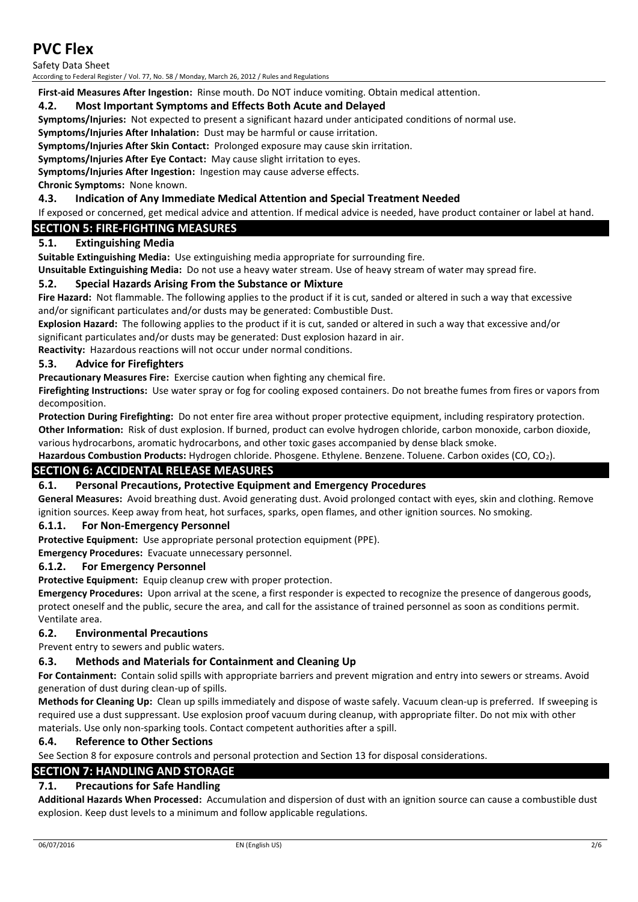Safety Data Sheet

According to Federal Register / Vol. 77, No. 58 / Monday, March 26, 2012 / Rules and Regulations

**First-aid Measures After Ingestion:** Rinse mouth. Do NOT induce vomiting. Obtain medical attention.

#### **4.2. Most Important Symptoms and Effects Both Acute and Delayed**

**Symptoms/Injuries:** Not expected to present a significant hazard under anticipated conditions of normal use.

**Symptoms/Injuries After Inhalation:** Dust may be harmful or cause irritation.

**Symptoms/Injuries After Skin Contact:** Prolonged exposure may cause skin irritation.

**Symptoms/Injuries After Eye Contact:** May cause slight irritation to eyes.

**Symptoms/Injuries After Ingestion:** Ingestion may cause adverse effects.

**Chronic Symptoms:** None known.

#### **4.3. Indication of Any Immediate Medical Attention and Special Treatment Needed**

If exposed or concerned, get medical advice and attention. If medical advice is needed, have product container or label at hand.

#### **SECTION 5: FIRE-FIGHTING MEASURES**

#### **5.1. Extinguishing Media**

**Suitable Extinguishing Media:** Use extinguishing media appropriate for surrounding fire.

**Unsuitable Extinguishing Media:** Do not use a heavy water stream. Use of heavy stream of water may spread fire.

#### **5.2. Special Hazards Arising From the Substance or Mixture**

**Fire Hazard:** Not flammable. The following applies to the product if it is cut, sanded or altered in such a way that excessive and/or significant particulates and/or dusts may be generated: Combustible Dust.

**Explosion Hazard:** The following applies to the product if it is cut, sanded or altered in such a way that excessive and/or

significant particulates and/or dusts may be generated: Dust explosion hazard in air.

**Reactivity:** Hazardous reactions will not occur under normal conditions.

#### **5.3. Advice for Firefighters**

**Precautionary Measures Fire:** Exercise caution when fighting any chemical fire.

**Firefighting Instructions:** Use water spray or fog for cooling exposed containers. Do not breathe fumes from fires or vapors from decomposition.

**Protection During Firefighting:** Do not enter fire area without proper protective equipment, including respiratory protection. **Other Information:** Risk of dust explosion. If burned, product can evolve hydrogen chloride, carbon monoxide, carbon dioxide,

various hydrocarbons, aromatic hydrocarbons, and other toxic gases accompanied by dense black smoke.

**Hazardous Combustion Products:** Hydrogen chloride. Phosgene. Ethylene. Benzene. Toluene. Carbon oxides (CO, CO2).

#### **SECTION 6: ACCIDENTAL RELEASE MEASURES**

#### **6.1. Personal Precautions, Protective Equipment and Emergency Procedures**

**General Measures:** Avoid breathing dust. Avoid generating dust. Avoid prolonged contact with eyes, skin and clothing. Remove ignition sources. Keep away from heat, hot surfaces, sparks, open flames, and other ignition sources. No smoking.

#### **6.1.1. For Non-Emergency Personnel**

**Protective Equipment:** Use appropriate personal protection equipment (PPE).

**Emergency Procedures:** Evacuate unnecessary personnel.

#### **6.1.2. For Emergency Personnel**

**Protective Equipment:** Equip cleanup crew with proper protection.

**Emergency Procedures:** Upon arrival at the scene, a first responder is expected to recognize the presence of dangerous goods, protect oneself and the public, secure the area, and call for the assistance of trained personnel as soon as conditions permit. Ventilate area.

#### **6.2. Environmental Precautions**

Prevent entry to sewers and public waters.

#### **6.3. Methods and Materials for Containment and Cleaning Up**

**For Containment:** Contain solid spills with appropriate barriers and prevent migration and entry into sewers or streams. Avoid generation of dust during clean-up of spills.

**Methods for Cleaning Up:** Clean up spills immediately and dispose of waste safely. Vacuum clean-up is preferred. If sweeping is required use a dust suppressant. Use explosion proof vacuum during cleanup, with appropriate filter. Do not mix with other materials. Use only non-sparking tools. Contact competent authorities after a spill.

#### **6.4. Reference to Other Sections**

See Section 8 for exposure controls and personal protection and Section 13 for disposal considerations.

#### **SECTION 7: HANDLING AND STORAGE**

#### **7.1. Precautions for Safe Handling**

**Additional Hazards When Processed:** Accumulation and dispersion of dust with an ignition source can cause a combustible dust explosion. Keep dust levels to a minimum and follow applicable regulations.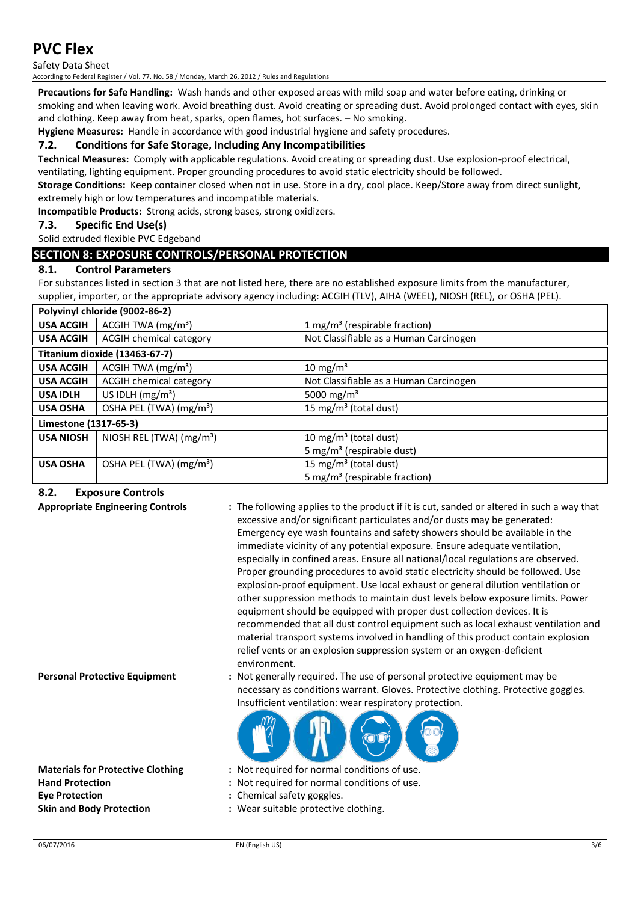Safety Data Sheet

According to Federal Register / Vol. 77, No. 58 / Monday, March 26, 2012 / Rules and Regulations

**Precautions for Safe Handling:** Wash hands and other exposed areas with mild soap and water before eating, drinking or smoking and when leaving work. Avoid breathing dust. Avoid creating or spreading dust. Avoid prolonged contact with eyes, skin and clothing. Keep away from heat, sparks, open flames, hot surfaces. – No smoking.

**Hygiene Measures:** Handle in accordance with good industrial hygiene and safety procedures.

#### **7.2. Conditions for Safe Storage, Including Any Incompatibilities**

**Technical Measures:** Comply with applicable regulations. Avoid creating or spreading dust. Use explosion-proof electrical,

ventilating, lighting equipment. Proper grounding procedures to avoid static electricity should be followed.

**Storage Conditions:** Keep container closed when not in use. Store in a dry, cool place. Keep/Store away from direct sunlight, extremely high or low temperatures and incompatible materials.

**Incompatible Products:** Strong acids, strong bases, strong oxidizers.

#### **7.3. Specific End Use(s)**

Solid extruded flexible PVC Edgeband

#### **SECTION 8: EXPOSURE CONTROLS/PERSONAL PROTECTION**

#### **8.1. Control Parameters**

For substances listed in section 3 that are not listed here, there are no established exposure limits from the manufacturer, supplier, importer, or the appropriate advisory agency including: ACGIH (TLV), AIHA (WEEL), NIOSH (REL), or OSHA (PEL).

| Polyvinyl chloride (9002-86-2) |                                     |                                           |
|--------------------------------|-------------------------------------|-------------------------------------------|
| <b>USA ACGIH</b>               | ACGIH TWA $(mg/m3)$                 | 1 mg/m <sup>3</sup> (respirable fraction) |
| <b>USA ACGIH</b>               | ACGIH chemical category             | Not Classifiable as a Human Carcinogen    |
| Titanium dioxide (13463-67-7)  |                                     |                                           |
| <b>USA ACGIH</b>               | ACGIH TWA (mg/m <sup>3</sup> )      | 10 mg/m <sup>3</sup>                      |
| <b>USA ACGIH</b>               | <b>ACGIH chemical category</b>      | Not Classifiable as a Human Carcinogen    |
| <b>USA IDLH</b>                | US IDLH $(mg/m3)$                   | 5000 mg/m <sup>3</sup>                    |
| <b>USA OSHA</b>                | OSHA PEL (TWA) (mg/m <sup>3</sup> ) | 15 mg/m <sup>3</sup> (total dust)         |
| Limestone (1317-65-3)          |                                     |                                           |
| <b>USA NIOSH</b>               | NIOSH REL (TWA) $(mg/m3)$           | 10 mg/m <sup>3</sup> (total dust)         |
|                                |                                     | 5 mg/m <sup>3</sup> (respirable dust)     |
| <b>USA OSHA</b>                | OSHA PEL (TWA) (mg/m <sup>3</sup> ) | 15 mg/m <sup>3</sup> (total dust)         |
|                                |                                     | 5 mg/m <sup>3</sup> (respirable fraction) |

#### **8.2. Exposure Controls**

**Appropriate Engineering Controls :** The following applies to the product if it is cut, sanded or altered in such a way that excessive and/or significant particulates and/or dusts may be generated: Emergency eye wash fountains and safety showers should be available in the immediate vicinity of any potential exposure. Ensure adequate ventilation, especially in confined areas. Ensure all national/local regulations are observed. Proper grounding procedures to avoid static electricity should be followed. Use explosion-proof equipment. Use local exhaust or general dilution ventilation or other suppression methods to maintain dust levels below exposure limits. Power equipment should be equipped with proper dust collection devices. It is recommended that all dust control equipment such as local exhaust ventilation and material transport systems involved in handling of this product contain explosion relief vents or an explosion suppression system or an oxygen-deficient environment.

**Eye Protection :** Chemical safety goggles.

**Personal Protective Equipment :** Not generally required. The use of personal protective equipment may be necessary as conditions warrant. Gloves. Protective clothing. Protective goggles. Insufficient ventilation: wear respiratory protection.



- **Materials for Protective Clothing :** Not required for normal conditions of use.
- **Hand Protection :** Not required for normal conditions of use.
	-
- **Skin and Body Protection :** Wear suitable protective clothing.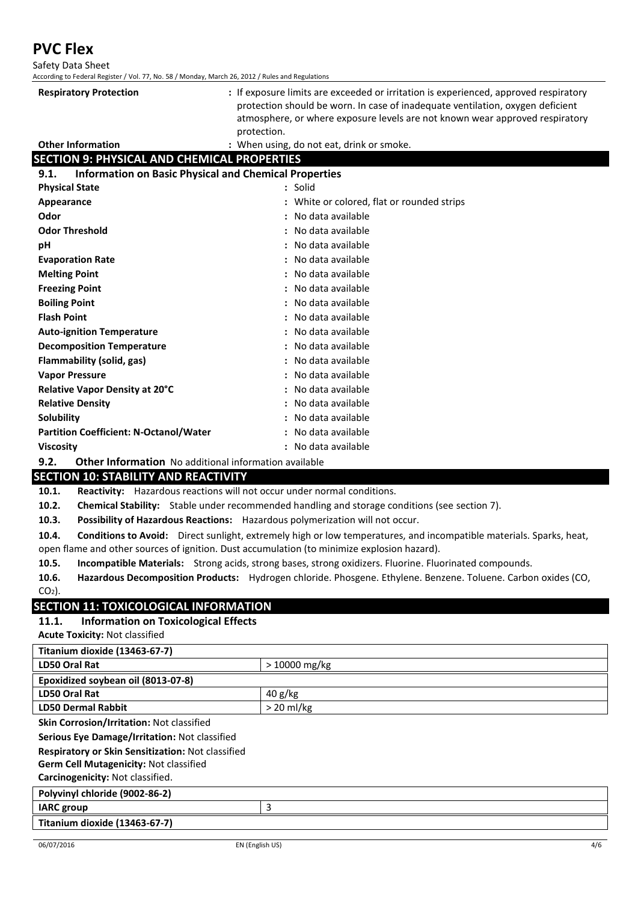**PVC Flex** Safety Data Sheet

| According to Federal Register / Vol. 77, No. 58 / Monday, March 26, 2012 / Rules and Regulations |                                                                                                                                                                                                                                                        |  |
|--------------------------------------------------------------------------------------------------|--------------------------------------------------------------------------------------------------------------------------------------------------------------------------------------------------------------------------------------------------------|--|
| <b>Respiratory Protection</b>                                                                    | : If exposure limits are exceeded or irritation is experienced, approved respiratory<br>protection should be worn. In case of inadequate ventilation, oxygen deficient<br>atmosphere, or where exposure levels are not known wear approved respiratory |  |
|                                                                                                  | protection.                                                                                                                                                                                                                                            |  |
| <b>Other Information</b>                                                                         | : When using, do not eat, drink or smoke.                                                                                                                                                                                                              |  |
| <b>SECTION 9: PHYSICAL AND CHEMICAL PROPERTIES</b>                                               |                                                                                                                                                                                                                                                        |  |
| <b>Information on Basic Physical and Chemical Properties</b><br>9.1.                             |                                                                                                                                                                                                                                                        |  |
| <b>Physical State</b>                                                                            | : Solid                                                                                                                                                                                                                                                |  |
| Appearance                                                                                       | : White or colored, flat or rounded strips                                                                                                                                                                                                             |  |
| Odor                                                                                             | No data available                                                                                                                                                                                                                                      |  |
| <b>Odor Threshold</b>                                                                            | No data available                                                                                                                                                                                                                                      |  |
| рH                                                                                               | No data available                                                                                                                                                                                                                                      |  |
| <b>Evaporation Rate</b>                                                                          | No data available                                                                                                                                                                                                                                      |  |
| <b>Melting Point</b>                                                                             | No data available                                                                                                                                                                                                                                      |  |
| <b>Freezing Point</b>                                                                            | No data available                                                                                                                                                                                                                                      |  |
| <b>Boiling Point</b>                                                                             | No data available                                                                                                                                                                                                                                      |  |
| <b>Flash Point</b>                                                                               | No data available                                                                                                                                                                                                                                      |  |
| <b>Auto-ignition Temperature</b>                                                                 | No data available                                                                                                                                                                                                                                      |  |
| <b>Decomposition Temperature</b>                                                                 | No data available                                                                                                                                                                                                                                      |  |
| Flammability (solid, gas)                                                                        | No data available                                                                                                                                                                                                                                      |  |
| <b>Vapor Pressure</b>                                                                            | No data available                                                                                                                                                                                                                                      |  |
| Relative Vapor Density at 20°C                                                                   | No data available                                                                                                                                                                                                                                      |  |
| <b>Relative Density</b>                                                                          | : No data available                                                                                                                                                                                                                                    |  |
| <b>Solubility</b>                                                                                | No data available                                                                                                                                                                                                                                      |  |
| <b>Partition Coefficient: N-Octanol/Water</b>                                                    | No data available                                                                                                                                                                                                                                      |  |
| <b>Viscosity</b>                                                                                 | : No data available                                                                                                                                                                                                                                    |  |
| 9.2.<br>Other Information No additional information available                                    |                                                                                                                                                                                                                                                        |  |

#### **SECTION 10: STABILITY AND REACTIVITY**

**10.1. Reactivity:** Hazardous reactions will not occur under normal conditions.

**10.2. Chemical Stability:** Stable under recommended handling and storage conditions (see section 7).

**10.3. Possibility of Hazardous Reactions:** Hazardous polymerization will not occur.

**10.4. Conditions to Avoid:** Direct sunlight, extremely high or low temperatures, and incompatible materials. Sparks, heat, open flame and other sources of ignition. Dust accumulation (to minimize explosion hazard).

**10.5. Incompatible Materials:** Strong acids, strong bases, strong oxidizers. Fluorine. Fluorinated compounds.

**10.6. Hazardous Decomposition Products:** Hydrogen chloride. Phosgene. Ethylene. Benzene. Toluene. Carbon oxides (CO,  $CO<sub>2</sub>$ ).

#### **SECTION 11: TOXICOLOGICAL INFORMATION**

#### **11.1. Information on Toxicological Effects**

**Acute Toxicity:** Not classified

| <b>Titanium dioxide (13463-67-7)</b>                     |                |
|----------------------------------------------------------|----------------|
| LD50 Oral Rat                                            | $>10000$ mg/kg |
| Epoxidized soybean oil (8013-07-8)                       |                |
| LD50 Oral Rat                                            | 40 g/kg        |
| <b>LD50 Dermal Rabbit</b>                                | $> 20$ ml/kg   |
| Skin Corrosion/Irritation: Not classified                |                |
| Serious Eye Damage/Irritation: Not classified            |                |
| <b>Respiratory or Skin Sensitization: Not classified</b> |                |
| <b>Germ Cell Mutagenicity: Not classified</b>            |                |
| Carcinogenicity: Not classified.                         |                |
| Polyvinyl chloride (9002-86-2)                           |                |
| <b>IARC</b> group                                        | 3              |
| Titanium dioxide (13463-67-7)                            |                |
|                                                          |                |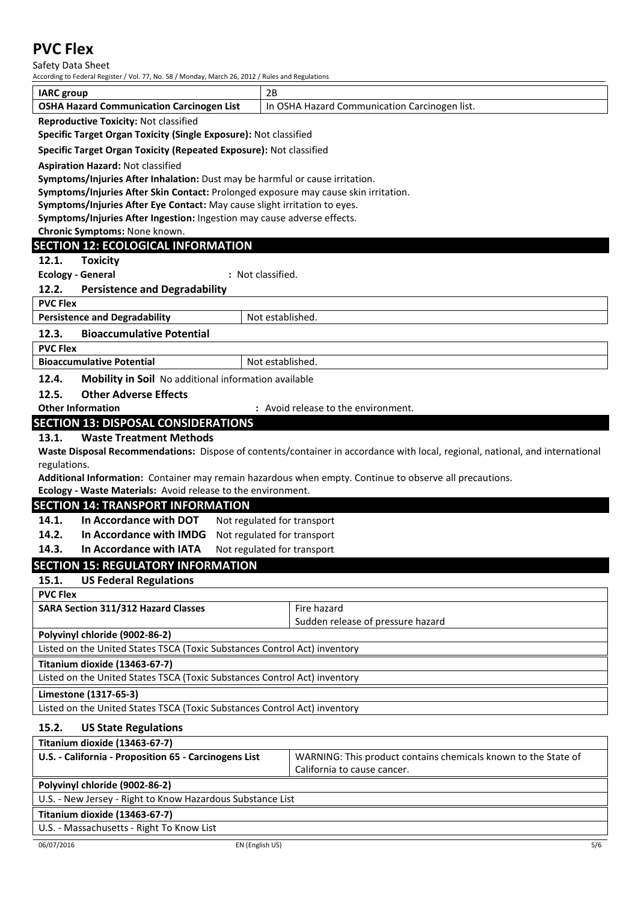Safety Data Sheet

According to Federal Register / Vol. 77, No. 58 / Monday, March 26, 2012 / Rules and Regulations

| <b>IARC</b> group                                                                   | 2B                                                                                                                            |  |
|-------------------------------------------------------------------------------------|-------------------------------------------------------------------------------------------------------------------------------|--|
| <b>OSHA Hazard Communication Carcinogen List</b>                                    | In OSHA Hazard Communication Carcinogen list.                                                                                 |  |
| <b>Reproductive Toxicity: Not classified</b>                                        |                                                                                                                               |  |
| Specific Target Organ Toxicity (Single Exposure): Not classified                    |                                                                                                                               |  |
| Specific Target Organ Toxicity (Repeated Exposure): Not classified                  |                                                                                                                               |  |
| <b>Aspiration Hazard: Not classified</b>                                            |                                                                                                                               |  |
| Symptoms/Injuries After Inhalation: Dust may be harmful or cause irritation.        |                                                                                                                               |  |
| Symptoms/Injuries After Skin Contact: Prolonged exposure may cause skin irritation. |                                                                                                                               |  |
| Symptoms/Injuries After Eye Contact: May cause slight irritation to eyes.           |                                                                                                                               |  |
| Symptoms/Injuries After Ingestion: Ingestion may cause adverse effects.             |                                                                                                                               |  |
| Chronic Symptoms: None known.                                                       |                                                                                                                               |  |
| <b>SECTION 12: ECOLOGICAL INFORMATION</b>                                           |                                                                                                                               |  |
| 12.1.<br><b>Toxicity</b>                                                            |                                                                                                                               |  |
| <b>Ecology - General</b>                                                            | : Not classified.                                                                                                             |  |
| 12.2.<br><b>Persistence and Degradability</b>                                       |                                                                                                                               |  |
| <b>PVC Flex</b>                                                                     |                                                                                                                               |  |
| <b>Persistence and Degradability</b>                                                | Not established.                                                                                                              |  |
| 12.3.<br><b>Bioaccumulative Potential</b>                                           |                                                                                                                               |  |
|                                                                                     |                                                                                                                               |  |
| <b>PVC Flex</b>                                                                     |                                                                                                                               |  |
| <b>Bioaccumulative Potential</b>                                                    | Not established.                                                                                                              |  |
| 12.4.<br><b>Mobility in Soil</b> No additional information available                |                                                                                                                               |  |
| <b>Other Adverse Effects</b><br>12.5.                                               |                                                                                                                               |  |
| <b>Other Information</b>                                                            | : Avoid release to the environment.                                                                                           |  |
| <b>SECTION 13: DISPOSAL CONSIDERATIONS</b>                                          |                                                                                                                               |  |
| <b>Waste Treatment Methods</b><br>13.1.                                             |                                                                                                                               |  |
|                                                                                     | Waste Disposal Recommendations: Dispose of contents/container in accordance with local, regional, national, and international |  |
| regulations.                                                                        |                                                                                                                               |  |
|                                                                                     | Additional Information: Container may remain hazardous when empty. Continue to observe all precautions.                       |  |
| Ecology - Waste Materials: Avoid release to the environment.                        |                                                                                                                               |  |
| <b>SECTION 14: TRANSPORT INFORMATION</b>                                            |                                                                                                                               |  |
| 14.1.<br>In Accordance with DOT                                                     | Not regulated for transport                                                                                                   |  |
| 14.2.<br>In Accordance with IMDG                                                    | Not regulated for transport                                                                                                   |  |
| 14.3.<br>In Accordance with IATA                                                    | Not regulated for transport                                                                                                   |  |
| <b>SECTION 15: REGULATORY INFORMATION</b>                                           |                                                                                                                               |  |
| <b>US Federal Regulations</b><br>15.1.                                              |                                                                                                                               |  |
| <b>PVC Flex</b>                                                                     |                                                                                                                               |  |
| <b>SARA Section 311/312 Hazard Classes</b>                                          | Fire hazard                                                                                                                   |  |
|                                                                                     | Sudden release of pressure hazard                                                                                             |  |
| Polyvinyl chloride (9002-86-2)                                                      |                                                                                                                               |  |
| Listed on the United States TSCA (Toxic Substances Control Act) inventory           |                                                                                                                               |  |
| Titanium dioxide (13463-67-7)                                                       |                                                                                                                               |  |
| Listed on the United States TSCA (Toxic Substances Control Act) inventory           |                                                                                                                               |  |
| Limestone (1317-65-3)                                                               |                                                                                                                               |  |
| Listed on the United States TSCA (Toxic Substances Control Act) inventory           |                                                                                                                               |  |
|                                                                                     |                                                                                                                               |  |
| 15.2.<br><b>US State Regulations</b>                                                |                                                                                                                               |  |
| Titanium dioxide (13463-67-7)                                                       |                                                                                                                               |  |
| U.S. - California - Proposition 65 - Carcinogens List                               | WARNING: This product contains chemicals known to the State of                                                                |  |
|                                                                                     | California to cause cancer.                                                                                                   |  |
| Polyvinyl chloride (9002-86-2)                                                      |                                                                                                                               |  |
| U.S. - New Jersey - Right to Know Hazardous Substance List                          |                                                                                                                               |  |
| Titanium dioxide (13463-67-7)                                                       |                                                                                                                               |  |
| U.S. - Massachusetts - Right To Know List                                           |                                                                                                                               |  |
| 06/07/2016                                                                          | 5/6<br>EN (English US)                                                                                                        |  |